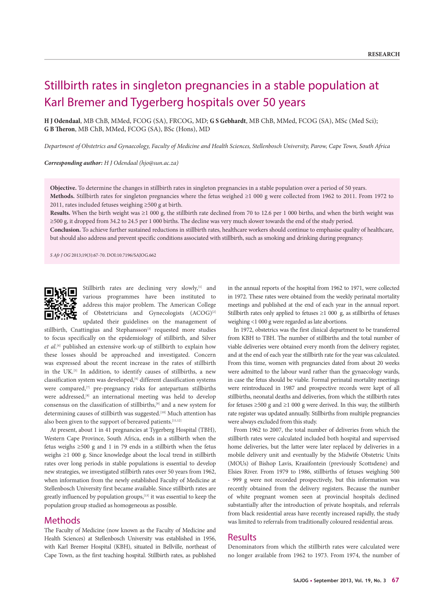## Stillbirth rates in singleton pregnancies in a stable population at Karl Bremer and Tygerberg hospitals over 50 years

**H J Odendaal**, MB ChB, MMed, FCOG (SA), FRCOG, MD; **G S Gebhardt**, MB ChB, MMed, FCOG (SA), MSc (Med Sci); **G B Theron**, MB ChB, MMed, FCOG (SA), BSc (Hons), MD

*Department of Obstetrics and Gynaecology, Faculty of Medicine and Health Sciences, Stellenbosch University, Parow, Cape Town, South Africa*

*Corresponding author: H J Odendaal (hjo@sun.ac.za)*

**Objective.** To determine the changes in stillbirth rates in singleton pregnancies in a stable population over a period of 50 years. **Methods.** Stillbirth rates for singleton pregnancies where the fetus weighed ≥1 000 g were collected from 1962 to 2011. From 1972 to 2011, rates included fetuses weighing ≥500 g at birth.

**Results.** When the birth weight was ≥1 000 g, the stillbirth rate declined from 70 to 12.6 per 1 000 births, and when the birth weight was ≥500 g, it dropped from 34.2 to 24.5 per 1 000 births. The decline was very much slower towards the end of the study period.

**Conclusion.** To achieve further sustained reductions in stillbirth rates, healthcare workers should continue to emphasise quality of healthcare, but should also address and prevent specific conditions associated with stillbirth, such as smoking and drinking during pregnancy.

*S Afr J OG* 2013;19(3):67-70. DOI:10.7196/SAJOG.662



Stillbirth rates are declining very slowly,<sup>[1]</sup> and various programmes have been instituted to address this major problem. The American College of Obstetricians and Gynecologists (ACOG)<sup>[2]</sup> updated their guidelines on the management of

stillbirth, Cnattingius and Stephansson<sup>[3]</sup> requested more studies to focus specifically on the epidemiology of stillbirth, and Silver *et al*. [4] published an extensive work-up of stillbirth to explain how these losses should be approached and investigated. Concern was expressed about the recent increase in the rates of stillbirth in the UK.[5] In addition, to identify causes of stillbirths, a new classification system was developed,<sup>[6]</sup> different classification systems were compared,<sup>[7]</sup> pre-pregnancy risks for antepartum stillbirths were addressed,<sup>[8]</sup> an international meeting was held to develop consensus on the classification of stillbirths,<sup>[9]</sup> and a new system for determining causes of stillbirth was suggested.<sup>[10]</sup> Much attention has also been given to the support of bereaved patients.<sup>[11,12]</sup>

At present, about 1 in 41 pregnancies at Tygerberg Hospital (TBH), Western Cape Province, South Africa, ends in a stillbirth when the fetus weighs ≥500 g and 1 in 79 ends in a stillbirth when the fetus weighs ≥1 000 g. Since knowledge about the local trend in stillbirth rates over long periods in stable populations is essential to develop new strategies, we investigated stillbirth rates over 50 years from 1962, when information from the newly established Faculty of Medicine at Stellenbosch University first became available. Since stillbirth rates are greatly influenced by population groups,<sup>[13]</sup> it was essential to keep the population group studied as homogeneous as possible.

## Methods

The Faculty of Medicine (now known as the Faculty of Medicine and Health Sciences) at Stellenbosch University was established in 1956, with Karl Bremer Hospital (KBH), situated in Bellville, northeast of Cape Town, as the first teaching hospital. Stillbirth rates, as published

in the annual reports of the hospital from 1962 to 1971, were collected in 1972. These rates were obtained from the weekly perinatal mortality meetings and published at the end of each year in the annual report. Stillbirth rates only applied to fetuses  $\geq$ 1 000 g, as stillbirths of fetuses weighing <1 000 g were regarded as late abortions.

In 1972, obstetrics was the first clinical department to be transferred from KBH to TBH. The number of stillbirths and the total number of viable deliveries were obtained every month from the delivery register, and at the end of each year the stillbirth rate for the year was calculated. From this time, women with pregnancies dated from about 20 weeks were admitted to the labour ward rather than the gynaecology wards, in case the fetus should be viable. Formal perinatal mortality meetings were reintroduced in 1987 and prospective records were kept of all stillbirths, neonatal deaths and deliveries, from which the stillbirth rates for fetuses ≥500 g and ≥1 000 g were derived. In this way, the stillbirth rate register was updated annually. Stillbirths from multiple pregnancies were always excluded from this study.

From 1962 to 2007, the total number of deliveries from which the stillbirth rates were calculated included both hospital and supervised home deliveries, but the latter were later replaced by deliveries in a mobile delivery unit and eventually by the Midwife Obstetric Units (MOUs) of Bishop Lavis, Kraaifontein (previously Scottsdene) and Elsies River. From 1979 to 1986, stillbirths of fetuses weighing 500 - 999 g were not recorded prospectively, but this information was recently obtained from the delivery registers. Because the number of white pregnant women seen at provincial hospitals declined substantially after the introduction of private hospitals, and referrals from black residential areas have recently increased rapidly, the study was limited to referrals from traditionally coloured residential areas.

## Results

Denominators from which the stillbirth rates were calculated were no longer available from 1962 to 1973. From 1974, the number of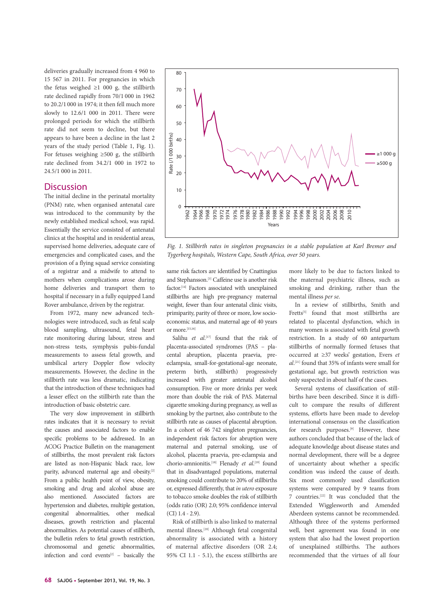deliveries gradually increased from 4 960 to 15 567 in 2011. For pregnancies in which the fetus weighed  $\geq 1$  000 g, the stillbirth rate declined rapidly from 70/1 000 in 1962 to 20.2/1 000 in 1974; it then fell much more slowly to 12.6/1 000 in 2011. There were prolonged periods for which the stillbirth rate did not seem to decline, but there appears to have been a decline in the last 2 years of the study period (Table 1, Fig. 1). For fetuses weighing ≥500 g, the stillbirth rate declined from 34.2/1 000 in 1972 to 24.5/1 000 in 2011.

## **Discussion**

The initial decline in the perinatal mortality (PNM) rate, when organised antenatal care was introduced to the community by the newly established medical school, was rapid. Essentially the service consisted of antenatal clinics at the hospital and in residential areas, supervised home deliveries, adequate care of emergencies and complicated cases, and the provision of a flying squad service consisting of a registrar and a midwife to attend to mothers when complications arose during home deliveries and transport them to hospital if necessary in a fully equipped Land Rover ambulance, driven by the registrar.

From 1972, many new advanced technologies were introduced, such as fetal scalp blood sampling, ultrasound, fetal heart rate monitoring during labour, stress and non-stress tests, symphysis pubis-fundal measurements to assess fetal growth, and umbilical artery Doppler flow velocity measurements. However, the decline in the stillbirth rate was less dramatic, indicating that the introduction of these techniques had a lesser effect on the stillbirth rate than the introduction of basic obstetric care.

The very slow improvement in stillbirth rates indicates that it is necessary to revisit the causes and associated factors to enable specific problems to be addressed. In an ACOG Practice Bulletin on the management of stillbirths, the most prevalent risk factors are listed as non-Hispanic black race, low parity, advanced maternal age and obesity.<sup>[2]</sup> From a public health point of view, obesity, smoking and drug and alcohol abuse are also mentioned. Associated factors are hypertension and diabetes, multiple gestation, congenital abnormalities, other medical diseases, growth restriction and placental abnormalities. As potential causes of stillbirth, the bulletin refers to fetal growth restriction, chromosomal and genetic abnormalities, infection and cord events $[2]$  – basically the



*Fig. 1. Stillbirth rates in singleton pregnancies in a stable population at Karl Bremer and Tygerberg hospitals, Western Cape, South Africa, over 50 years.*

same risk factors are identified by Cnattingius and Stephansson.[3] Caffeine use is another risk factor.[14] Factors associated with unexplained stillbirths are high pre-pregnancy maternal weight, fewer than four antenatal clinic visits, primiparity, parity of three or more, low socioeconomic status, and maternal age of 40 years or more.<sup>[15,16]</sup>

Salihu *et al*.<sup>[17]</sup> found that the risk of placenta-associated syndromes (PAS – placental abruption, placenta praevia, preeclampsia, small-for-gestational-age neonate, preterm birth, stillbirth) progressively increased with greater antenatal alcohol consumption. Five or more drinks per week more than double the risk of PAS. Maternal cigarette smoking during pregnancy, as well as smoking by the partner, also contribute to the stillbirth rate as causes of placental abruption. In a cohort of 46 742 singleton pregnancies, independent risk factors for abruption were maternal and paternal smoking, use of alcohol, placenta praevia, pre-eclampsia and chorio-amnionitis.<sup>[18]</sup> Flenady *et al.*<sup>[19]</sup> found that in disadvantaged populations, maternal smoking could contribute to 20% of stillbirths or, expressed differently, that *in utero* exposure to tobacco smoke doubles the risk of stillbirth (odds ratio (OR) 2.0; 95% confidence interval (CI) 1.4 - 2.9).

Risk of stillbirth is also linked to maternal mental illness.[20] Although fetal congenital abnormality is associated with a history of maternal affective disorders (OR 2.4; 95% CI 1.1 - 5.1), the excess stillbirths are

more likely to be due to factors linked to the maternal psychiatric illness, such as smoking and drinking, rather than the mental illness *per se*.

In a review of stillbirths, Smith and Fretts<sup>[5]</sup> found that most stillbirths are related to placental dysfunction, which in many women is associated with fetal growth restriction. In a study of 60 antepartum stillbirths of normally formed fetuses that occurred at ≥37 weeks' gestation, Evers *et al*. [21] found that 35% of infants were small for gestational age, but growth restriction was only suspected in about half of the cases.

Several systems of classification of stillbirths have been described. Since it is difficult to compare the results of different systems, efforts have been made to develop international consensus on the classification for research purposes.<sup>[9]</sup> However, these authors concluded that because of the lack of adequate knowledge about disease states and normal development, there will be a degree of uncertainty about whether a specific condition was indeed the cause of death. Six most commonly used classification systems were compared by 9 teams from 7 countries.[22] It was concluded that the Extended Wigglesworth and Amended Aberdeen systems cannot be recommended. Although three of the systems performed well, best agreement was found in one system that also had the lowest proportion of unexplained stillbirths. The authors recommended that the virtues of all four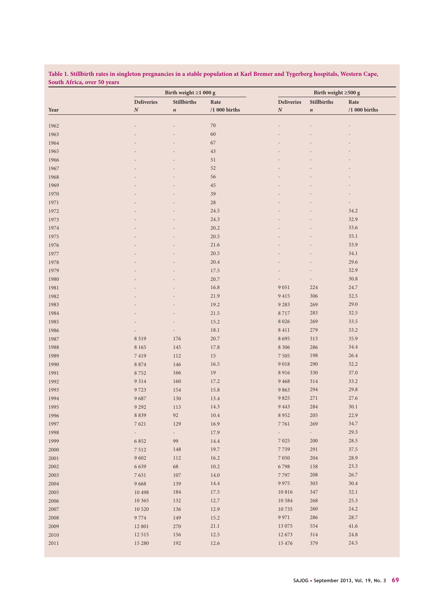**Table 1. Stillbirth rates in singleton pregnancies in a stable population at Karl Bremer and Tygerberg hospitals, Western Cape, South Africa, over 50 years**

| <b>Stillbirths</b><br><b>Deliveries</b><br>Rate<br><b>Deliveries</b><br><b>Stillbirths</b><br>Rate<br>$\boldsymbol{N}$<br>$/1$ 000 births<br>$\boldsymbol{N}$<br>/1 000 births<br>$\boldsymbol{n}$<br>$\boldsymbol{n}$<br>$70\,$<br>1962<br>1963<br>60<br>67<br>1964<br>43<br>1965<br>51<br>1966<br>52<br>1967<br>56<br>1968<br>1969<br>45<br>39<br>1970<br>$28\,$<br>1971<br>$\overline{a}$<br>34.2<br>1972<br>24.5<br>32.9<br>24.3<br>1973<br>33.6<br>20.2<br>1974<br>35.1<br>1975<br>20.5<br>21.6<br>33.9<br>1976<br>34.1<br>20.5<br>1977<br>29.6<br>1978<br>20.4<br>32.9<br>1979<br>17.5<br>$30.8\,$<br>20.7<br>1980<br>$9\;051$<br>24.7<br>1981<br>16.8<br>224<br>21.9<br>9415<br>306<br>32.5<br>1982<br>29.0<br>269<br>19.2<br>9 2 8 3<br>1983<br>$8\;717$<br>32.5<br>21.5<br>283<br>1984<br>15.2<br>8 0 2 6<br>269<br>33.5<br>1985<br>33.2<br>18.1<br>$8\;411$<br>279<br>1986<br>8695<br>313<br>35.9<br>1987<br>8 5 1 9<br>176<br>20.7<br>$17.8\,$<br>8 3 0 6<br>286<br>34.4<br>$8\;165$<br>145<br>26.4<br>112<br>$15\,$<br>$7\;505$<br>$7\;419$<br>198<br>$9\,018$<br>32.2<br>$8\;874$<br>146<br>16.5<br>290<br>19<br>8916<br>330<br>37.0<br>8752<br>166<br>33.2<br>160<br>17.2<br>9 4 6 8<br>$314\,$<br>9 3 1 4<br>9863<br>294<br>29.8<br>9723<br>154<br>15.8<br>13.4<br>27.6<br>9687<br>130<br>9 8 2 5<br>271<br>$30.1\,$<br>9 4 4 3<br>9 2 9 2<br>113<br>14.3<br>284<br>22.9<br>8 8 3 9<br>$92\,$<br>10.4<br>8952<br>$205\,$<br>34.7<br>16.9<br>$7\,761$<br>269<br>7621<br>129<br>29.3<br>17.9<br>$\sim$<br>$\sim$<br>$\sim$<br>$\overline{\phantom{a}}$<br>28.5<br>6 8 5 2<br>99<br>14.4<br>$7\,025$<br>200<br>37.5<br>19.7<br>7759<br>$291\,$<br>$7\,512$<br>148<br>28.9<br>9 6 0 2<br>16.2<br>$7\;050$<br>204<br>112<br>23.3<br>6 6 3 9<br>68<br>10.2<br>6798<br>158<br>26.7<br>7797<br>$208\,$<br>7631<br>$107\,$<br>$14.0\,$<br>30.4<br>9 6 6 8<br>139<br>14.4<br>9 9 7 5<br>303<br>347<br>32.1<br>10 4 9 8<br>184<br>$17.5\,$<br>10 816<br>25.3<br>10 5 8 4<br>268<br>10 3 65<br>132<br>12.7<br>24.2<br>136<br>12.9<br>10735<br>$260\,$<br>10 5 20<br>28.7<br>286<br>9 7 7 4<br>149<br>15.2<br>9 9 7 1<br>13 0 75<br>41.6<br>$12\,801$<br>270<br>$21.1\,$<br>554<br>24.8<br>$12.5\,$<br>12 673<br>$314\,$<br>12 5 15<br>156<br>379<br>24.5<br>15 2 8 0<br>192<br>$12.6\,$<br>15 476 | Year     | Birth weight $\geq$ 1 000 g |  |  | Birth weight $\geq 500$ g |  |  |
|------------------------------------------------------------------------------------------------------------------------------------------------------------------------------------------------------------------------------------------------------------------------------------------------------------------------------------------------------------------------------------------------------------------------------------------------------------------------------------------------------------------------------------------------------------------------------------------------------------------------------------------------------------------------------------------------------------------------------------------------------------------------------------------------------------------------------------------------------------------------------------------------------------------------------------------------------------------------------------------------------------------------------------------------------------------------------------------------------------------------------------------------------------------------------------------------------------------------------------------------------------------------------------------------------------------------------------------------------------------------------------------------------------------------------------------------------------------------------------------------------------------------------------------------------------------------------------------------------------------------------------------------------------------------------------------------------------------------------------------------------------------------------------------------------------------------------------------------------------------------------------------------------------------------------------------------------------------------------------------------------------------------------------------------------------------------------------------------------------------------------------------------------------------------------------------------------------------------------------------------------------------------------------------------------|----------|-----------------------------|--|--|---------------------------|--|--|
|                                                                                                                                                                                                                                                                                                                                                                                                                                                                                                                                                                                                                                                                                                                                                                                                                                                                                                                                                                                                                                                                                                                                                                                                                                                                                                                                                                                                                                                                                                                                                                                                                                                                                                                                                                                                                                                                                                                                                                                                                                                                                                                                                                                                                                                                                                      |          |                             |  |  |                           |  |  |
|                                                                                                                                                                                                                                                                                                                                                                                                                                                                                                                                                                                                                                                                                                                                                                                                                                                                                                                                                                                                                                                                                                                                                                                                                                                                                                                                                                                                                                                                                                                                                                                                                                                                                                                                                                                                                                                                                                                                                                                                                                                                                                                                                                                                                                                                                                      |          |                             |  |  |                           |  |  |
|                                                                                                                                                                                                                                                                                                                                                                                                                                                                                                                                                                                                                                                                                                                                                                                                                                                                                                                                                                                                                                                                                                                                                                                                                                                                                                                                                                                                                                                                                                                                                                                                                                                                                                                                                                                                                                                                                                                                                                                                                                                                                                                                                                                                                                                                                                      |          |                             |  |  |                           |  |  |
|                                                                                                                                                                                                                                                                                                                                                                                                                                                                                                                                                                                                                                                                                                                                                                                                                                                                                                                                                                                                                                                                                                                                                                                                                                                                                                                                                                                                                                                                                                                                                                                                                                                                                                                                                                                                                                                                                                                                                                                                                                                                                                                                                                                                                                                                                                      |          |                             |  |  |                           |  |  |
|                                                                                                                                                                                                                                                                                                                                                                                                                                                                                                                                                                                                                                                                                                                                                                                                                                                                                                                                                                                                                                                                                                                                                                                                                                                                                                                                                                                                                                                                                                                                                                                                                                                                                                                                                                                                                                                                                                                                                                                                                                                                                                                                                                                                                                                                                                      |          |                             |  |  |                           |  |  |
|                                                                                                                                                                                                                                                                                                                                                                                                                                                                                                                                                                                                                                                                                                                                                                                                                                                                                                                                                                                                                                                                                                                                                                                                                                                                                                                                                                                                                                                                                                                                                                                                                                                                                                                                                                                                                                                                                                                                                                                                                                                                                                                                                                                                                                                                                                      |          |                             |  |  |                           |  |  |
|                                                                                                                                                                                                                                                                                                                                                                                                                                                                                                                                                                                                                                                                                                                                                                                                                                                                                                                                                                                                                                                                                                                                                                                                                                                                                                                                                                                                                                                                                                                                                                                                                                                                                                                                                                                                                                                                                                                                                                                                                                                                                                                                                                                                                                                                                                      |          |                             |  |  |                           |  |  |
|                                                                                                                                                                                                                                                                                                                                                                                                                                                                                                                                                                                                                                                                                                                                                                                                                                                                                                                                                                                                                                                                                                                                                                                                                                                                                                                                                                                                                                                                                                                                                                                                                                                                                                                                                                                                                                                                                                                                                                                                                                                                                                                                                                                                                                                                                                      |          |                             |  |  |                           |  |  |
|                                                                                                                                                                                                                                                                                                                                                                                                                                                                                                                                                                                                                                                                                                                                                                                                                                                                                                                                                                                                                                                                                                                                                                                                                                                                                                                                                                                                                                                                                                                                                                                                                                                                                                                                                                                                                                                                                                                                                                                                                                                                                                                                                                                                                                                                                                      |          |                             |  |  |                           |  |  |
|                                                                                                                                                                                                                                                                                                                                                                                                                                                                                                                                                                                                                                                                                                                                                                                                                                                                                                                                                                                                                                                                                                                                                                                                                                                                                                                                                                                                                                                                                                                                                                                                                                                                                                                                                                                                                                                                                                                                                                                                                                                                                                                                                                                                                                                                                                      |          |                             |  |  |                           |  |  |
|                                                                                                                                                                                                                                                                                                                                                                                                                                                                                                                                                                                                                                                                                                                                                                                                                                                                                                                                                                                                                                                                                                                                                                                                                                                                                                                                                                                                                                                                                                                                                                                                                                                                                                                                                                                                                                                                                                                                                                                                                                                                                                                                                                                                                                                                                                      |          |                             |  |  |                           |  |  |
|                                                                                                                                                                                                                                                                                                                                                                                                                                                                                                                                                                                                                                                                                                                                                                                                                                                                                                                                                                                                                                                                                                                                                                                                                                                                                                                                                                                                                                                                                                                                                                                                                                                                                                                                                                                                                                                                                                                                                                                                                                                                                                                                                                                                                                                                                                      |          |                             |  |  |                           |  |  |
|                                                                                                                                                                                                                                                                                                                                                                                                                                                                                                                                                                                                                                                                                                                                                                                                                                                                                                                                                                                                                                                                                                                                                                                                                                                                                                                                                                                                                                                                                                                                                                                                                                                                                                                                                                                                                                                                                                                                                                                                                                                                                                                                                                                                                                                                                                      |          |                             |  |  |                           |  |  |
|                                                                                                                                                                                                                                                                                                                                                                                                                                                                                                                                                                                                                                                                                                                                                                                                                                                                                                                                                                                                                                                                                                                                                                                                                                                                                                                                                                                                                                                                                                                                                                                                                                                                                                                                                                                                                                                                                                                                                                                                                                                                                                                                                                                                                                                                                                      |          |                             |  |  |                           |  |  |
|                                                                                                                                                                                                                                                                                                                                                                                                                                                                                                                                                                                                                                                                                                                                                                                                                                                                                                                                                                                                                                                                                                                                                                                                                                                                                                                                                                                                                                                                                                                                                                                                                                                                                                                                                                                                                                                                                                                                                                                                                                                                                                                                                                                                                                                                                                      |          |                             |  |  |                           |  |  |
|                                                                                                                                                                                                                                                                                                                                                                                                                                                                                                                                                                                                                                                                                                                                                                                                                                                                                                                                                                                                                                                                                                                                                                                                                                                                                                                                                                                                                                                                                                                                                                                                                                                                                                                                                                                                                                                                                                                                                                                                                                                                                                                                                                                                                                                                                                      |          |                             |  |  |                           |  |  |
|                                                                                                                                                                                                                                                                                                                                                                                                                                                                                                                                                                                                                                                                                                                                                                                                                                                                                                                                                                                                                                                                                                                                                                                                                                                                                                                                                                                                                                                                                                                                                                                                                                                                                                                                                                                                                                                                                                                                                                                                                                                                                                                                                                                                                                                                                                      |          |                             |  |  |                           |  |  |
|                                                                                                                                                                                                                                                                                                                                                                                                                                                                                                                                                                                                                                                                                                                                                                                                                                                                                                                                                                                                                                                                                                                                                                                                                                                                                                                                                                                                                                                                                                                                                                                                                                                                                                                                                                                                                                                                                                                                                                                                                                                                                                                                                                                                                                                                                                      |          |                             |  |  |                           |  |  |
|                                                                                                                                                                                                                                                                                                                                                                                                                                                                                                                                                                                                                                                                                                                                                                                                                                                                                                                                                                                                                                                                                                                                                                                                                                                                                                                                                                                                                                                                                                                                                                                                                                                                                                                                                                                                                                                                                                                                                                                                                                                                                                                                                                                                                                                                                                      |          |                             |  |  |                           |  |  |
|                                                                                                                                                                                                                                                                                                                                                                                                                                                                                                                                                                                                                                                                                                                                                                                                                                                                                                                                                                                                                                                                                                                                                                                                                                                                                                                                                                                                                                                                                                                                                                                                                                                                                                                                                                                                                                                                                                                                                                                                                                                                                                                                                                                                                                                                                                      |          |                             |  |  |                           |  |  |
|                                                                                                                                                                                                                                                                                                                                                                                                                                                                                                                                                                                                                                                                                                                                                                                                                                                                                                                                                                                                                                                                                                                                                                                                                                                                                                                                                                                                                                                                                                                                                                                                                                                                                                                                                                                                                                                                                                                                                                                                                                                                                                                                                                                                                                                                                                      |          |                             |  |  |                           |  |  |
|                                                                                                                                                                                                                                                                                                                                                                                                                                                                                                                                                                                                                                                                                                                                                                                                                                                                                                                                                                                                                                                                                                                                                                                                                                                                                                                                                                                                                                                                                                                                                                                                                                                                                                                                                                                                                                                                                                                                                                                                                                                                                                                                                                                                                                                                                                      |          |                             |  |  |                           |  |  |
|                                                                                                                                                                                                                                                                                                                                                                                                                                                                                                                                                                                                                                                                                                                                                                                                                                                                                                                                                                                                                                                                                                                                                                                                                                                                                                                                                                                                                                                                                                                                                                                                                                                                                                                                                                                                                                                                                                                                                                                                                                                                                                                                                                                                                                                                                                      |          |                             |  |  |                           |  |  |
|                                                                                                                                                                                                                                                                                                                                                                                                                                                                                                                                                                                                                                                                                                                                                                                                                                                                                                                                                                                                                                                                                                                                                                                                                                                                                                                                                                                                                                                                                                                                                                                                                                                                                                                                                                                                                                                                                                                                                                                                                                                                                                                                                                                                                                                                                                      |          |                             |  |  |                           |  |  |
|                                                                                                                                                                                                                                                                                                                                                                                                                                                                                                                                                                                                                                                                                                                                                                                                                                                                                                                                                                                                                                                                                                                                                                                                                                                                                                                                                                                                                                                                                                                                                                                                                                                                                                                                                                                                                                                                                                                                                                                                                                                                                                                                                                                                                                                                                                      |          |                             |  |  |                           |  |  |
|                                                                                                                                                                                                                                                                                                                                                                                                                                                                                                                                                                                                                                                                                                                                                                                                                                                                                                                                                                                                                                                                                                                                                                                                                                                                                                                                                                                                                                                                                                                                                                                                                                                                                                                                                                                                                                                                                                                                                                                                                                                                                                                                                                                                                                                                                                      |          |                             |  |  |                           |  |  |
|                                                                                                                                                                                                                                                                                                                                                                                                                                                                                                                                                                                                                                                                                                                                                                                                                                                                                                                                                                                                                                                                                                                                                                                                                                                                                                                                                                                                                                                                                                                                                                                                                                                                                                                                                                                                                                                                                                                                                                                                                                                                                                                                                                                                                                                                                                      |          |                             |  |  |                           |  |  |
|                                                                                                                                                                                                                                                                                                                                                                                                                                                                                                                                                                                                                                                                                                                                                                                                                                                                                                                                                                                                                                                                                                                                                                                                                                                                                                                                                                                                                                                                                                                                                                                                                                                                                                                                                                                                                                                                                                                                                                                                                                                                                                                                                                                                                                                                                                      |          |                             |  |  |                           |  |  |
|                                                                                                                                                                                                                                                                                                                                                                                                                                                                                                                                                                                                                                                                                                                                                                                                                                                                                                                                                                                                                                                                                                                                                                                                                                                                                                                                                                                                                                                                                                                                                                                                                                                                                                                                                                                                                                                                                                                                                                                                                                                                                                                                                                                                                                                                                                      |          |                             |  |  |                           |  |  |
|                                                                                                                                                                                                                                                                                                                                                                                                                                                                                                                                                                                                                                                                                                                                                                                                                                                                                                                                                                                                                                                                                                                                                                                                                                                                                                                                                                                                                                                                                                                                                                                                                                                                                                                                                                                                                                                                                                                                                                                                                                                                                                                                                                                                                                                                                                      | 1988     |                             |  |  |                           |  |  |
|                                                                                                                                                                                                                                                                                                                                                                                                                                                                                                                                                                                                                                                                                                                                                                                                                                                                                                                                                                                                                                                                                                                                                                                                                                                                                                                                                                                                                                                                                                                                                                                                                                                                                                                                                                                                                                                                                                                                                                                                                                                                                                                                                                                                                                                                                                      | 1989     |                             |  |  |                           |  |  |
|                                                                                                                                                                                                                                                                                                                                                                                                                                                                                                                                                                                                                                                                                                                                                                                                                                                                                                                                                                                                                                                                                                                                                                                                                                                                                                                                                                                                                                                                                                                                                                                                                                                                                                                                                                                                                                                                                                                                                                                                                                                                                                                                                                                                                                                                                                      | 1990     |                             |  |  |                           |  |  |
|                                                                                                                                                                                                                                                                                                                                                                                                                                                                                                                                                                                                                                                                                                                                                                                                                                                                                                                                                                                                                                                                                                                                                                                                                                                                                                                                                                                                                                                                                                                                                                                                                                                                                                                                                                                                                                                                                                                                                                                                                                                                                                                                                                                                                                                                                                      | 1991     |                             |  |  |                           |  |  |
|                                                                                                                                                                                                                                                                                                                                                                                                                                                                                                                                                                                                                                                                                                                                                                                                                                                                                                                                                                                                                                                                                                                                                                                                                                                                                                                                                                                                                                                                                                                                                                                                                                                                                                                                                                                                                                                                                                                                                                                                                                                                                                                                                                                                                                                                                                      | 1992     |                             |  |  |                           |  |  |
|                                                                                                                                                                                                                                                                                                                                                                                                                                                                                                                                                                                                                                                                                                                                                                                                                                                                                                                                                                                                                                                                                                                                                                                                                                                                                                                                                                                                                                                                                                                                                                                                                                                                                                                                                                                                                                                                                                                                                                                                                                                                                                                                                                                                                                                                                                      | 1993     |                             |  |  |                           |  |  |
|                                                                                                                                                                                                                                                                                                                                                                                                                                                                                                                                                                                                                                                                                                                                                                                                                                                                                                                                                                                                                                                                                                                                                                                                                                                                                                                                                                                                                                                                                                                                                                                                                                                                                                                                                                                                                                                                                                                                                                                                                                                                                                                                                                                                                                                                                                      | 1994     |                             |  |  |                           |  |  |
|                                                                                                                                                                                                                                                                                                                                                                                                                                                                                                                                                                                                                                                                                                                                                                                                                                                                                                                                                                                                                                                                                                                                                                                                                                                                                                                                                                                                                                                                                                                                                                                                                                                                                                                                                                                                                                                                                                                                                                                                                                                                                                                                                                                                                                                                                                      | 1995     |                             |  |  |                           |  |  |
|                                                                                                                                                                                                                                                                                                                                                                                                                                                                                                                                                                                                                                                                                                                                                                                                                                                                                                                                                                                                                                                                                                                                                                                                                                                                                                                                                                                                                                                                                                                                                                                                                                                                                                                                                                                                                                                                                                                                                                                                                                                                                                                                                                                                                                                                                                      | 1996     |                             |  |  |                           |  |  |
|                                                                                                                                                                                                                                                                                                                                                                                                                                                                                                                                                                                                                                                                                                                                                                                                                                                                                                                                                                                                                                                                                                                                                                                                                                                                                                                                                                                                                                                                                                                                                                                                                                                                                                                                                                                                                                                                                                                                                                                                                                                                                                                                                                                                                                                                                                      | 1997     |                             |  |  |                           |  |  |
|                                                                                                                                                                                                                                                                                                                                                                                                                                                                                                                                                                                                                                                                                                                                                                                                                                                                                                                                                                                                                                                                                                                                                                                                                                                                                                                                                                                                                                                                                                                                                                                                                                                                                                                                                                                                                                                                                                                                                                                                                                                                                                                                                                                                                                                                                                      | 1998     |                             |  |  |                           |  |  |
|                                                                                                                                                                                                                                                                                                                                                                                                                                                                                                                                                                                                                                                                                                                                                                                                                                                                                                                                                                                                                                                                                                                                                                                                                                                                                                                                                                                                                                                                                                                                                                                                                                                                                                                                                                                                                                                                                                                                                                                                                                                                                                                                                                                                                                                                                                      | 1999     |                             |  |  |                           |  |  |
|                                                                                                                                                                                                                                                                                                                                                                                                                                                                                                                                                                                                                                                                                                                                                                                                                                                                                                                                                                                                                                                                                                                                                                                                                                                                                                                                                                                                                                                                                                                                                                                                                                                                                                                                                                                                                                                                                                                                                                                                                                                                                                                                                                                                                                                                                                      | 2000     |                             |  |  |                           |  |  |
|                                                                                                                                                                                                                                                                                                                                                                                                                                                                                                                                                                                                                                                                                                                                                                                                                                                                                                                                                                                                                                                                                                                                                                                                                                                                                                                                                                                                                                                                                                                                                                                                                                                                                                                                                                                                                                                                                                                                                                                                                                                                                                                                                                                                                                                                                                      | $2001\,$ |                             |  |  |                           |  |  |
|                                                                                                                                                                                                                                                                                                                                                                                                                                                                                                                                                                                                                                                                                                                                                                                                                                                                                                                                                                                                                                                                                                                                                                                                                                                                                                                                                                                                                                                                                                                                                                                                                                                                                                                                                                                                                                                                                                                                                                                                                                                                                                                                                                                                                                                                                                      | 2002     |                             |  |  |                           |  |  |
|                                                                                                                                                                                                                                                                                                                                                                                                                                                                                                                                                                                                                                                                                                                                                                                                                                                                                                                                                                                                                                                                                                                                                                                                                                                                                                                                                                                                                                                                                                                                                                                                                                                                                                                                                                                                                                                                                                                                                                                                                                                                                                                                                                                                                                                                                                      | 2003     |                             |  |  |                           |  |  |
|                                                                                                                                                                                                                                                                                                                                                                                                                                                                                                                                                                                                                                                                                                                                                                                                                                                                                                                                                                                                                                                                                                                                                                                                                                                                                                                                                                                                                                                                                                                                                                                                                                                                                                                                                                                                                                                                                                                                                                                                                                                                                                                                                                                                                                                                                                      | $2004\,$ |                             |  |  |                           |  |  |
|                                                                                                                                                                                                                                                                                                                                                                                                                                                                                                                                                                                                                                                                                                                                                                                                                                                                                                                                                                                                                                                                                                                                                                                                                                                                                                                                                                                                                                                                                                                                                                                                                                                                                                                                                                                                                                                                                                                                                                                                                                                                                                                                                                                                                                                                                                      | $2005\,$ |                             |  |  |                           |  |  |
|                                                                                                                                                                                                                                                                                                                                                                                                                                                                                                                                                                                                                                                                                                                                                                                                                                                                                                                                                                                                                                                                                                                                                                                                                                                                                                                                                                                                                                                                                                                                                                                                                                                                                                                                                                                                                                                                                                                                                                                                                                                                                                                                                                                                                                                                                                      | 2006     |                             |  |  |                           |  |  |
|                                                                                                                                                                                                                                                                                                                                                                                                                                                                                                                                                                                                                                                                                                                                                                                                                                                                                                                                                                                                                                                                                                                                                                                                                                                                                                                                                                                                                                                                                                                                                                                                                                                                                                                                                                                                                                                                                                                                                                                                                                                                                                                                                                                                                                                                                                      | 2007     |                             |  |  |                           |  |  |
|                                                                                                                                                                                                                                                                                                                                                                                                                                                                                                                                                                                                                                                                                                                                                                                                                                                                                                                                                                                                                                                                                                                                                                                                                                                                                                                                                                                                                                                                                                                                                                                                                                                                                                                                                                                                                                                                                                                                                                                                                                                                                                                                                                                                                                                                                                      | $2008\,$ |                             |  |  |                           |  |  |
|                                                                                                                                                                                                                                                                                                                                                                                                                                                                                                                                                                                                                                                                                                                                                                                                                                                                                                                                                                                                                                                                                                                                                                                                                                                                                                                                                                                                                                                                                                                                                                                                                                                                                                                                                                                                                                                                                                                                                                                                                                                                                                                                                                                                                                                                                                      | 2009     |                             |  |  |                           |  |  |
|                                                                                                                                                                                                                                                                                                                                                                                                                                                                                                                                                                                                                                                                                                                                                                                                                                                                                                                                                                                                                                                                                                                                                                                                                                                                                                                                                                                                                                                                                                                                                                                                                                                                                                                                                                                                                                                                                                                                                                                                                                                                                                                                                                                                                                                                                                      | $2010\,$ |                             |  |  |                           |  |  |
|                                                                                                                                                                                                                                                                                                                                                                                                                                                                                                                                                                                                                                                                                                                                                                                                                                                                                                                                                                                                                                                                                                                                                                                                                                                                                                                                                                                                                                                                                                                                                                                                                                                                                                                                                                                                                                                                                                                                                                                                                                                                                                                                                                                                                                                                                                      | $2011\,$ |                             |  |  |                           |  |  |